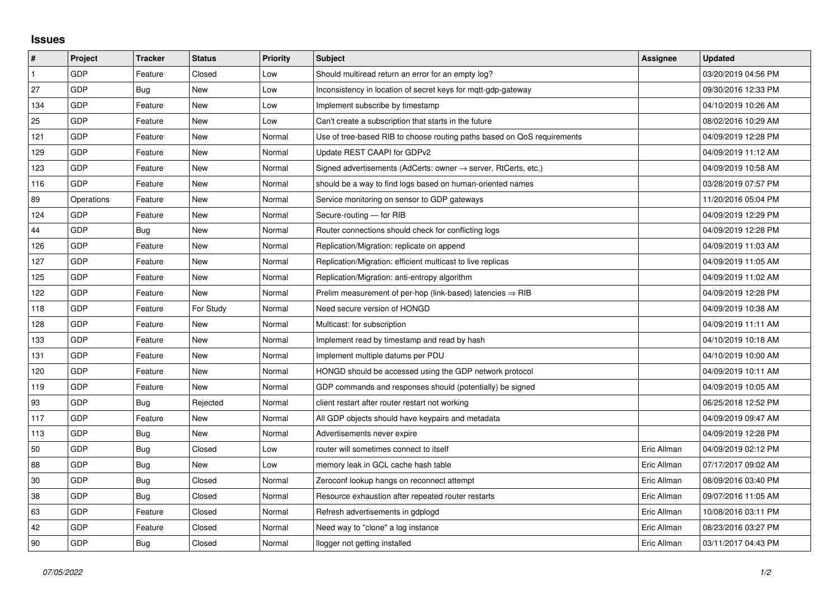## **Issues**

| #            | <b>Project</b> | <b>Tracker</b> | <b>Status</b> | <b>Priority</b> | <b>Subject</b>                                                             | <b>Assignee</b> | <b>Updated</b>      |
|--------------|----------------|----------------|---------------|-----------------|----------------------------------------------------------------------------|-----------------|---------------------|
| $\mathbf{1}$ | GDP            | Feature        | Closed        | Low             | Should multiread return an error for an empty log?                         |                 | 03/20/2019 04:56 PM |
| 27           | GDP            | Bug            | New           | Low             | Inconsistency in location of secret keys for mgtt-gdp-gateway              |                 | 09/30/2016 12:33 PM |
| 134          | GDP            | Feature        | New           | Low             | Implement subscribe by timestamp                                           |                 | 04/10/2019 10:26 AM |
| 25           | GDP            | Feature        | New           | Low             | Can't create a subscription that starts in the future                      |                 | 08/02/2016 10:29 AM |
| 121          | GDP            | Feature        | <b>New</b>    | Normal          | Use of tree-based RIB to choose routing paths based on QoS requirements    |                 | 04/09/2019 12:28 PM |
| 129          | GDP            | Feature        | New           | Normal          | Update REST CAAPI for GDPv2                                                |                 | 04/09/2019 11:12 AM |
| 123          | GDP            | Feature        | New           | Normal          | Signed advertisements (AdCerts: owner $\rightarrow$ server, RtCerts, etc.) |                 | 04/09/2019 10:58 AM |
| 116          | GDP            | Feature        | <b>New</b>    | Normal          | should be a way to find logs based on human-oriented names                 |                 | 03/28/2019 07:57 PM |
| 89           | Operations     | Feature        | New           | Normal          | Service monitoring on sensor to GDP gateways                               |                 | 11/20/2016 05:04 PM |
| 124          | GDP            | Feature        | <b>New</b>    | Normal          | Secure-routing - for RIB                                                   |                 | 04/09/2019 12:29 PM |
| 44           | GDP            | <b>Bug</b>     | <b>New</b>    | Normal          | Router connections should check for conflicting logs                       |                 | 04/09/2019 12:28 PM |
| 126          | GDP            | Feature        | New           | Normal          | Replication/Migration: replicate on append                                 |                 | 04/09/2019 11:03 AM |
| 127          | GDP            | Feature        | New           | Normal          | Replication/Migration: efficient multicast to live replicas                |                 | 04/09/2019 11:05 AM |
| 125          | GDP            | Feature        | New           | Normal          | Replication/Migration: anti-entropy algorithm                              |                 | 04/09/2019 11:02 AM |
| 122          | GDP            | Feature        | New           | Normal          | Prelim measurement of per-hop (link-based) latencies $\Rightarrow$ RIB     |                 | 04/09/2019 12:28 PM |
| 118          | GDP            | Feature        | For Study     | Normal          | Need secure version of HONGD                                               |                 | 04/09/2019 10:38 AM |
| 128          | GDP            | Feature        | <b>New</b>    | Normal          | Multicast: for subscription                                                |                 | 04/09/2019 11:11 AM |
| 133          | GDP            | Feature        | New           | Normal          | Implement read by timestamp and read by hash                               |                 | 04/10/2019 10:18 AM |
| 131          | GDP            | Feature        | <b>New</b>    | Normal          | Implement multiple datums per PDU                                          |                 | 04/10/2019 10:00 AM |
| 120          | GDP            | Feature        | New           | Normal          | HONGD should be accessed using the GDP network protocol                    |                 | 04/09/2019 10:11 AM |
| 119          | GDP            | Feature        | New           | Normal          | GDP commands and responses should (potentially) be signed                  |                 | 04/09/2019 10:05 AM |
| 93           | GDP            | Bug            | Rejected      | Normal          | client restart after router restart not working                            |                 | 06/25/2018 12:52 PM |
| 117          | GDP            | Feature        | New           | Normal          | All GDP objects should have keypairs and metadata                          |                 | 04/09/2019 09:47 AM |
| 113          | GDP            | Bug            | New           | Normal          | Advertisements never expire                                                |                 | 04/09/2019 12:28 PM |
| 50           | GDP            | <b>Bug</b>     | Closed        | Low             | router will sometimes connect to itself                                    | Eric Allman     | 04/09/2019 02:12 PM |
| 88           | GDP            | Bug            | New           | Low             | memory leak in GCL cache hash table                                        | Eric Allman     | 07/17/2017 09:02 AM |
| 30           | GDP            | Bug            | Closed        | Normal          | Zeroconf lookup hangs on reconnect attempt                                 | Eric Allman     | 08/09/2016 03:40 PM |
| 38           | GDP            | Bug            | Closed        | Normal          | Resource exhaustion after repeated router restarts                         | Eric Allman     | 09/07/2016 11:05 AM |
| 63           | GDP            | Feature        | Closed        | Normal          | Refresh advertisements in gdplogd                                          | Eric Allman     | 10/08/2016 03:11 PM |
| 42           | GDP            | Feature        | Closed        | Normal          | Need way to "clone" a log instance                                         | Eric Allman     | 08/23/2016 03:27 PM |
| 90           | GDP            | Bug            | Closed        | Normal          | llogger not getting installed                                              | Eric Allman     | 03/11/2017 04:43 PM |